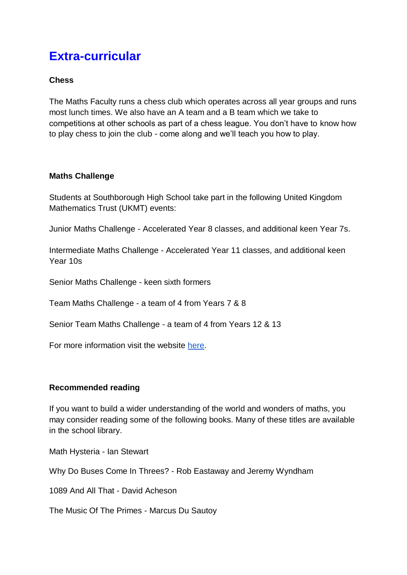## **Extra-curricular**

## **Chess**

The Maths Faculty runs a chess club which operates across all year groups and runs most lunch times. We also have an A team and a B team which we take to competitions at other schools as part of a chess league. You don't have to know how to play chess to join the club - come along and we'll teach you how to play.

## **Maths Challenge**

Students at Southborough High School take part in the following United Kingdom Mathematics Trust (UKMT) events:

Junior Maths Challenge - Accelerated Year 8 classes, and additional keen Year 7s.

Intermediate Maths Challenge - Accelerated Year 11 classes, and additional keen Year 10s

Senior Maths Challenge - keen sixth formers

Team Maths Challenge - a team of 4 from Years 7 & 8

Senior Team Maths Challenge - a team of 4 from Years 12 & 13

For more information visit the website [here.](https://www.ukmt.org.uk/)

## **Recommended reading**

If you want to build a wider understanding of the world and wonders of maths, you may consider reading some of the following books. Many of these titles are available in the school library.

Math Hysteria - Ian Stewart

Why Do Buses Come In Threes? - Rob Eastaway and Jeremy Wyndham

1089 And All That - David Acheson

The Music Of The Primes - Marcus Du Sautoy